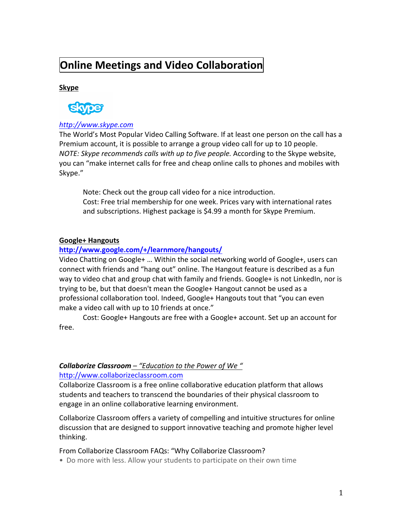# **Online Meetings and Video Collaboration**

# **Skype**



# *http://www.skype.com*

The World's Most Popular Video Calling Software. If at least one person on the call has a Premium account, it is possible to arrange a group video call for up to 10 people. *NOTE: Skype recommends calls with up to five people. According to the Skype website,* you can "make internet calls for free and cheap online calls to phones and mobiles with Skype."

Note: Check out the group call video for a nice introduction. Cost: Free trial membership for one week. Prices vary with international rates and subscriptions. Highest package is \$4.99 a month for Skype Premium.

## **Google+&Hangouts&**

# **http://www.google.com/+/learnmore/hangouts/**

Video Chatting on Google+ ... Within the social networking world of Google+, users can connect with friends and "hang out" online. The Hangout feature is described as a fun way to video chat and group chat with family and friends. Google+ is not LinkedIn, nor is trying to be, but that doesn't mean the Google+ Hangout cannot be used as a professional collaboration tool. Indeed, Google+ Hangouts tout that "you can even make a video call with up to 10 friends at once."

Cost: Google+ Hangouts are free with a Google+ account. Set up an account for free.

# **Collaborize Classroom** – "Education to the Power of We"

## http://www.collaborizeclassroom.com

Collaborize Classroom is a free online collaborative education platform that allows students and teachers to transcend the boundaries of their physical classroom to engage in an online collaborative learning environment.

Collaborize Classroom offers a variety of compelling and intuitive structures for online discussion that are designed to support innovative teaching and promote higher level thinking.

From Collaborize Classroom FAQs: "Why Collaborize Classroom?

• Do more with less. Allow your students to participate on their own time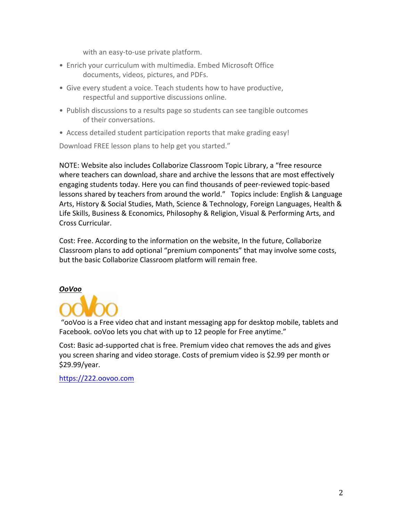with an easy-to-use private platform.

- Enrich your curriculum with multimedia. Embed Microsoft Office documents, videos, pictures, and PDFs.
- Give every student a voice. Teach students how to have productive, respectful and supportive discussions online.
- Publish discussions to a results page so students can see tangible outcomes of their conversations.
- Access detailed student participation reports that make grading easy!

Download FREE lesson plans to help get you started."

NOTE: Website also includes Collaborize Classroom Topic Library, a "free resource where teachers can download, share and archive the lessons that are most effectively engaging students today. Here you can find thousands of peer-reviewed topic-based lessons shared by teachers from around the world." Topics include: English & Language Arts, History & Social Studies, Math, Science & Technology, Foreign Languages, Health & Life Skills, Business & Economics, Philosophy & Religion, Visual & Performing Arts, and Cross Curricular.

Cost: Free. According to the information on the website, In the future, Collaborize Classroom plans to add optional "premium components" that may involve some costs, but the basic Collaborize Classroom platform will remain free.

# *OoVoo*



"ooVoo is a Free video chat and instant messaging app for desktop mobile, tablets and Facebook. ooVoo lets you chat with up to 12 people for Free anytime."

Cost: Basic ad-supported chat is free. Premium video chat removes the ads and gives you screen sharing and video storage. Costs of premium video is \$2.99 per month or \$29.99/year.

https://222.oovoo.com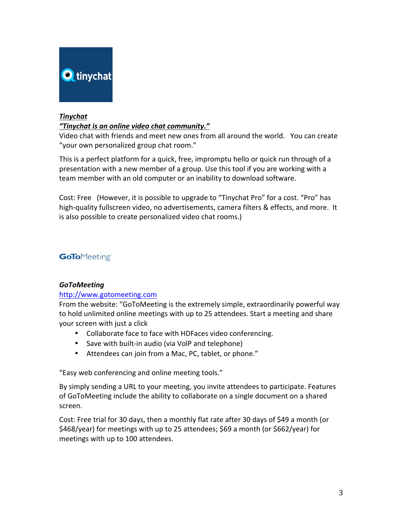

# *Tinychat*

# *"Tinychat\*is\*an\*online\*video\*chat\*community."\**

Video chat with friends and meet new ones from all around the world. You can create "your own personalized group chat room."

This is a perfect platform for a quick, free, impromptu hello or quick run through of a presentation with a new member of a group. Use this tool if you are working with a team member with an old computer or an inability to download software.

Cost: Free (However, it is possible to upgrade to "Tinychat Pro" for a cost. "Pro" has high-quality fullscreen video, no advertisements, camera filters & effects, and more. It is also possible to create personalized video chat rooms.)

# **GoTo**Meeting®

## *GoToMeeting*

# http://www.gotomeeting.com

From the website: "GoToMeeting is the extremely simple, extraordinarily powerful way to hold unlimited online meetings with up to 25 attendees. Start a meeting and share your screen with just a click

- Collaborate face to face with HDFaces video conferencing.
- Save with built-in audio (via VolP and telephone)
- Attendees can join from a Mac, PC, tablet, or phone."

"Easy web conferencing and online meeting tools."

By simply sending a URL to your meeting, you invite attendees to participate. Features of GoToMeeting include the ability to collaborate on a single document on a shared screen.

Cost: Free trial for 30 days, then a monthly flat rate after 30 days of \$49 a month (or \$468/year) for meetings with up to 25 attendees; \$69 a month (or \$662/year) for meetings with up to 100 attendees.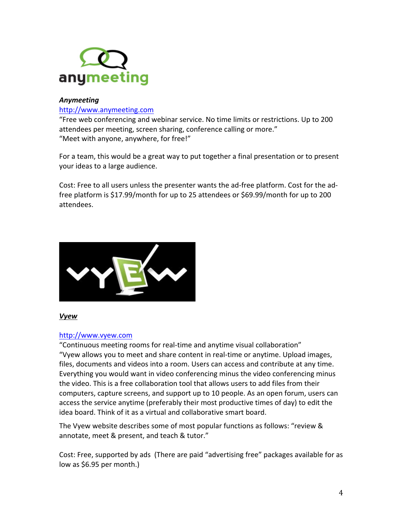

## *Anymeeting*

### http://www.anymeeting.com

"Free web conferencing and webinar service. No time limits or restrictions. Up to 200 attendees per meeting, screen sharing, conference calling or more." "Meet with anyone, anywhere, for free!"

For a team, this would be a great way to put together a final presentation or to present your ideas to a large audience.

Cost: Free to all users unless the presenter wants the ad-free platform. Cost for the adfree platform is \$17.99/month for up to 25 attendees or \$69.99/month for up to 200 attendees.



## *Vyew*

## http://www.vyew.com

"Continuous meeting rooms for real-time and anytime visual collaboration" "Vyew allows you to meet and share content in real-time or anytime. Upload images, files, documents and videos into a room. Users can access and contribute at any time. Everything you would want in video conferencing minus the video conferencing minus the video. This is a free collaboration tool that allows users to add files from their computers, capture screens, and support up to 10 people. As an open forum, users can access the service anytime (preferably their most productive times of day) to edit the idea board. Think of it as a virtual and collaborative smart board.

The Vyew website describes some of most popular functions as follows: "review & annotate, meet & present, and teach & tutor."

Cost: Free, supported by ads (There are paid "advertising free" packages available for as low as  $$6.95$  per month.)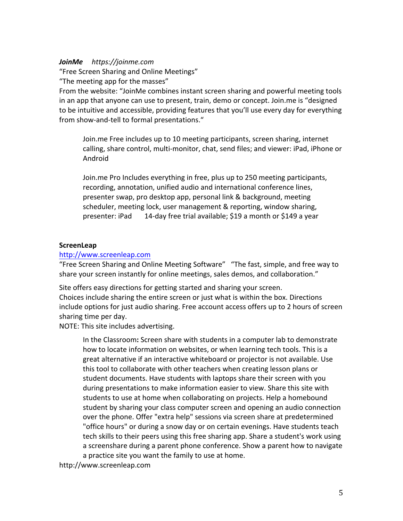## *JoinMe\*\*\*\*\*https://joinme.com*

"Free Screen Sharing and Online Meetings"

"The meeting app for the masses"

From the website: "JoinMe combines instant screen sharing and powerful meeting tools in an app that anyone can use to present, train, demo or concept. Join.me is "designed to be intuitive and accessible, providing features that you'll use every day for everything from show-and-tell to formal presentations."

Join.me Free includes up to 10 meeting participants, screen sharing, internet calling, share control, multi-monitor, chat, send files; and viewer: iPad, iPhone or Android

Join.me Pro Includes everything in free, plus up to 250 meeting participants, recording, annotation, unified audio and international conference lines, presenter swap, pro desktop app, personal link & background, meeting scheduler, meeting lock, user management & reporting, window sharing, presenter: iPad 14-day free trial available; \$19 a month or \$149 a year

### **ScreenLeap&**

### http://www.screenleap.com

"Free Screen Sharing and Online Meeting Software" "The fast, simple, and free way to share your screen instantly for online meetings, sales demos, and collaboration."

Site offers easy directions for getting started and sharing your screen.

Choices include sharing the entire screen or just what is within the box. Directions include options for just audio sharing. Free account access offers up to 2 hours of screen sharing time per day.

NOTE: This site includes advertising.

In the Classroom: Screen share with students in a computer lab to demonstrate how to locate information on websites, or when learning tech tools. This is a great alternative if an interactive whiteboard or projector is not available. Use this tool to collaborate with other teachers when creating lesson plans or student documents. Have students with laptops share their screen with you during presentations to make information easier to view. Share this site with students to use at home when collaborating on projects. Help a homebound student by sharing your class computer screen and opening an audio connection over the phone. Offer "extra help" sessions via screen share at predetermined "office hours" or during a snow day or on certain evenings. Have students teach tech skills to their peers using this free sharing app. Share a student's work using a screenshare during a parent phone conference. Show a parent how to navigate a practice site you want the family to use at home.

http://www.screenleap.com